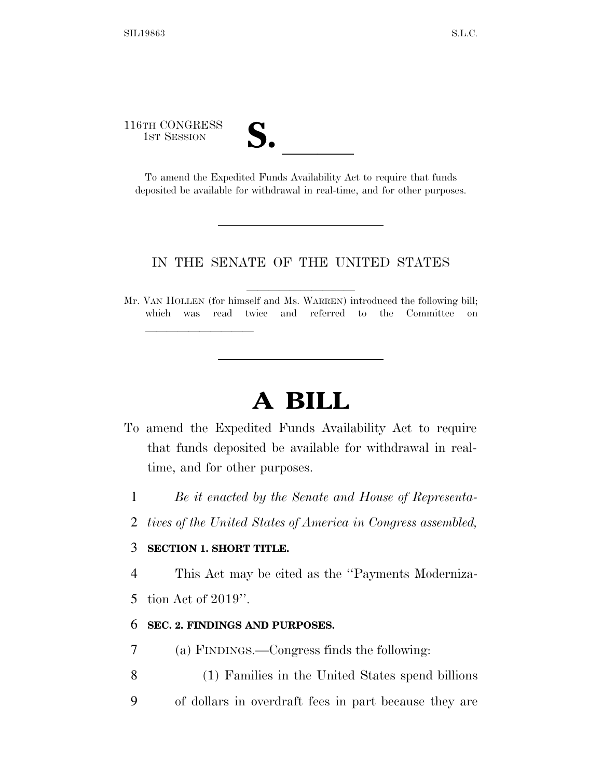# 116TH CONGRESS TH CONGRESS<br>
1st Session<br>
To amend the Expedited Funds Availability Act to require that funds

lle and a second control of the second control of the second control of the second control of the second control of the second control of the second control of the second control of the second control of the second control

deposited be available for withdrawal in real-time, and for other purposes.

#### IN THE SENATE OF THE UNITED STATES

Mr. VAN HOLLEN (for himself and Ms. WARREN) introduced the following bill; which was read twice and referred to the Committee on

## **A BILL**

- To amend the Expedited Funds Availability Act to require that funds deposited be available for withdrawal in realtime, and for other purposes.
	- 1 *Be it enacted by the Senate and House of Representa-*
	- 2 *tives of the United States of America in Congress assembled,*

### 3 **SECTION 1. SHORT TITLE.**

4 This Act may be cited as the ''Payments Moderniza-

5 tion Act of 2019''.

### 6 **SEC. 2. FINDINGS AND PURPOSES.**

- 7 (a) FINDINGS.—Congress finds the following:
- 8 (1) Families in the United States spend billions
- 9 of dollars in overdraft fees in part because they are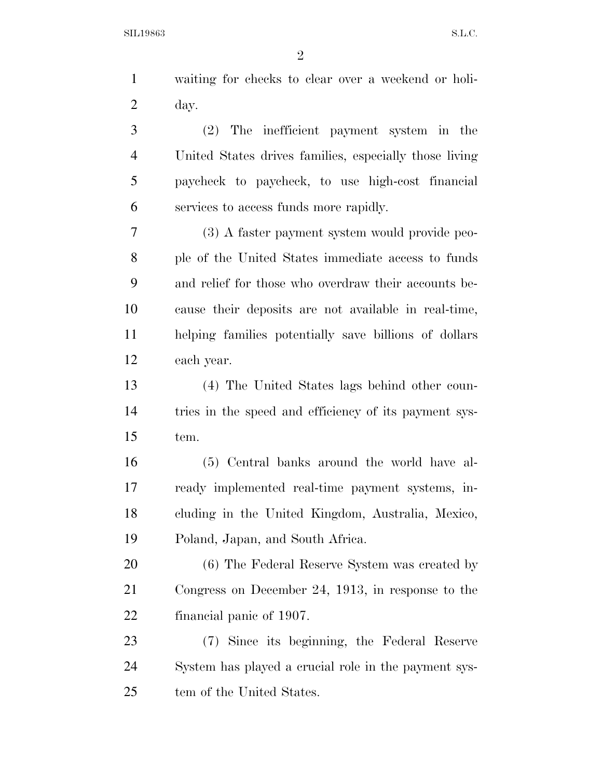| $\mathbf{1}$   | waiting for checks to clear over a weekend or holi-    |
|----------------|--------------------------------------------------------|
| $\overline{2}$ | day.                                                   |
| 3              | (2) The inefficient payment system in the              |
| $\overline{4}$ | United States drives families, especially those living |
| 5              | paycheck to paycheck, to use high-cost financial       |
| 6              | services to access funds more rapidly.                 |
| 7              | (3) A faster payment system would provide peo-         |
| 8              | ple of the United States immediate access to funds     |
| 9              | and relief for those who overdraw their accounts be-   |
| 10             | cause their deposits are not available in real-time,   |
| 11             | helping families potentially save billions of dollars  |
| 12             | each year.                                             |
| 13             | (4) The United States lags behind other coun-          |
| 14             | tries in the speed and efficiency of its payment sys-  |
| 15             | tem.                                                   |
| 16             | (5) Central banks around the world have al-            |
| 17             | ready implemented real-time payment systems, in-       |
| 18             | cluding in the United Kingdom, Australia, Mexico,      |
| 19             | Poland, Japan, and South Africa.                       |
| 20             | (6) The Federal Reserve System was created by          |
| 21             | Congress on December 24, 1913, in response to the      |
| 22             | financial panic of 1907.                               |
| 23             | (7) Since its beginning, the Federal Reserve           |
| 24             | System has played a crucial role in the payment sys-   |

tem of the United States.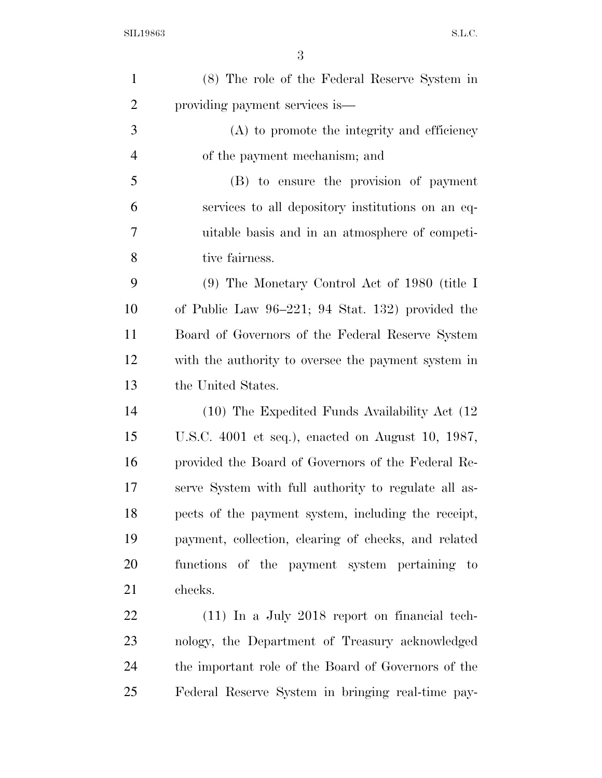| $\mathbf{1}$   | (8) The role of the Federal Reserve System in        |
|----------------|------------------------------------------------------|
| $\overline{2}$ | providing payment services is—                       |
| 3              | (A) to promote the integrity and efficiency          |
| $\overline{4}$ | of the payment mechanism; and                        |
| 5              | (B) to ensure the provision of payment               |
| 6              | services to all depository institutions on an eq-    |
| 7              | uitable basis and in an atmosphere of competi-       |
| 8              | tive fairness.                                       |
| 9              | (9) The Monetary Control Act of 1980 (title I        |
| 10             | of Public Law $96-221$ ; 94 Stat. 132) provided the  |
| 11             | Board of Governors of the Federal Reserve System     |
| 12             | with the authority to oversee the payment system in  |
| 13             | the United States.                                   |
| 14             | $(10)$ The Expedited Funds Availability Act $(12)$   |
| 15             | U.S.C. 4001 et seq.), enacted on August 10, 1987,    |
| 16             | provided the Board of Governors of the Federal Re-   |
| 17             | serve System with full authority to regulate all as- |
| 18             | pects of the payment system, including the receipt,  |
| 19             | payment, collection, clearing of checks, and related |
| 20             | functions of the payment system pertaining to        |
| 21             | checks.                                              |
| 22             | $(11)$ In a July 2018 report on financial tech-      |
| 23             | nology, the Department of Treasury acknowledged      |
| 24             | the important role of the Board of Governors of the  |
| 25             | Federal Reserve System in bringing real-time pay-    |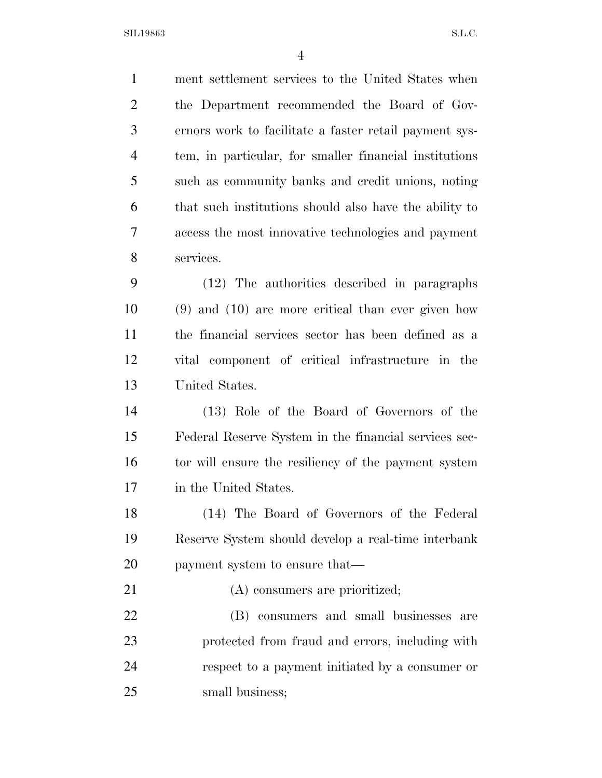ment settlement services to the United States when the Department recommended the Board of Gov- ernors work to facilitate a faster retail payment sys- tem, in particular, for smaller financial institutions such as community banks and credit unions, noting that such institutions should also have the ability to access the most innovative technologies and payment services. (12) The authorities described in paragraphs (9) and (10) are more critical than ever given how the financial services sector has been defined as a vital component of critical infrastructure in the United States. (13) Role of the Board of Governors of the Federal Reserve System in the financial services sec-16 tor will ensure the resiliency of the payment system in the United States. (14) The Board of Governors of the Federal Reserve System should develop a real-time interbank payment system to ensure that— 21 (A) consumers are prioritized; (B) consumers and small businesses are protected from fraud and errors, including with

 respect to a payment initiated by a consumer or 25 small business: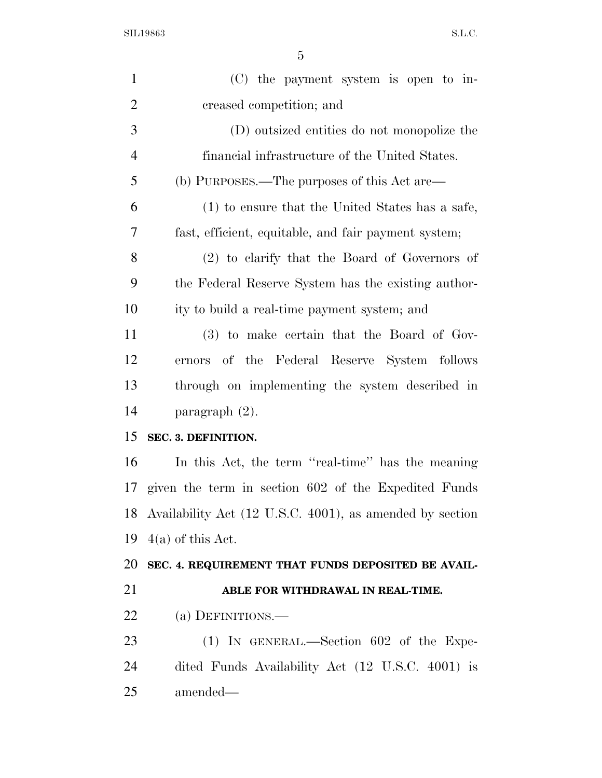| $\mathbf{1}$   | $(C)$ the payment system is open to in-                     |
|----------------|-------------------------------------------------------------|
| $\overline{2}$ | creased competition; and                                    |
| 3              | (D) outsized entities do not monopolize the                 |
| $\overline{4}$ | financial infrastructure of the United States.              |
| 5              | (b) PURPOSES.—The purposes of this Act are—                 |
| 6              | (1) to ensure that the United States has a safe,            |
| 7              | fast, efficient, equitable, and fair payment system;        |
| 8              | $(2)$ to clarify that the Board of Governors of             |
| 9              | the Federal Reserve System has the existing author-         |
| 10             | ity to build a real-time payment system; and                |
| 11             | (3) to make certain that the Board of Gov-                  |
| 12             | ernors of the Federal Reserve System follows                |
| 13             | through on implementing the system described in             |
| 14             | paragraph $(2)$ .                                           |
| 15             | SEC. 3. DEFINITION.                                         |
| 16             | In this Act, the term "real-time" has the meaning           |
| 17             | given the term in section 602 of the Expedited Funds        |
|                | 18 Availability Act (12 U.S.C. 4001), as amended by section |
| 19             | $4(a)$ of this Act.                                         |
| 20             | SEC. 4. REQUIREMENT THAT FUNDS DEPOSITED BE AVAIL-          |
|                |                                                             |
| 21             | ABLE FOR WITHDRAWAL IN REAL-TIME.                           |
| 22             | (a) DEFINITIONS.—                                           |
| 23             | $(1)$ IN GENERAL.—Section 602 of the Expe-                  |
| 24             | dited Funds Availability Act (12 U.S.C. 4001) is            |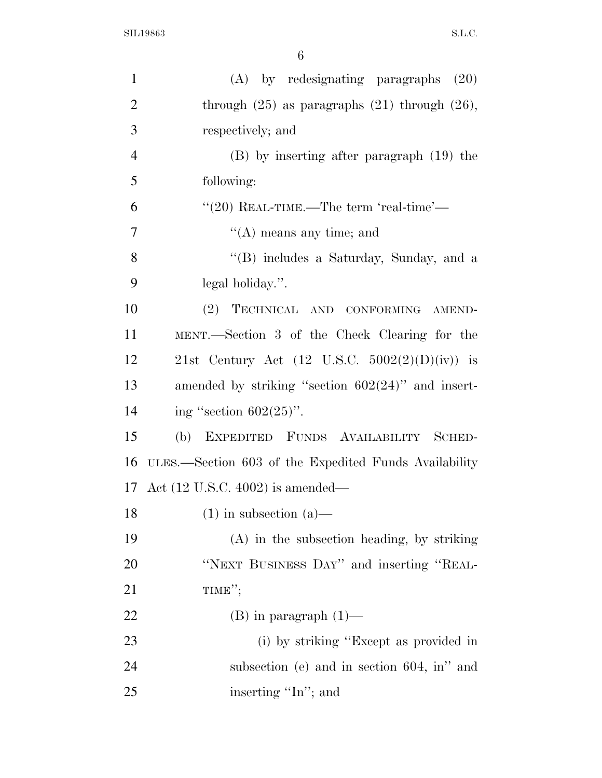| $\mathbf{1}$   | $(A)$ by redesignating paragraphs $(20)$              |
|----------------|-------------------------------------------------------|
| $\overline{2}$ | through $(25)$ as paragraphs $(21)$ through $(26)$ ,  |
| 3              | respectively; and                                     |
| $\overline{4}$ | $(B)$ by inserting after paragraph $(19)$ the         |
| 5              | following:                                            |
| 6              | $``(20)$ REAL-TIME.—The term 'real-time'—             |
| 7              | $\lq\lq$ means any time; and                          |
| 8              | "(B) includes a Saturday, Sunday, and a               |
| 9              | legal holiday.".                                      |
| 10             | (2) TECHNICAL AND CONFORMING AMEND-                   |
| 11             | MENT.—Section 3 of the Check Clearing for the         |
| 12             | 21st Century Act (12 U.S.C. $5002(2)(D)(iv)$ ) is     |
| 13             | amended by striking "section $602(24)$ " and insert-  |
| 14             | ing "section $602(25)$ ".                             |
| 15             | EXPEDITED FUNDS AVAILABILITY SCHED-<br>(b)            |
| 16             | ULES.—Section 603 of the Expedited Funds Availability |
|                | 17 Act (12 U.S.C. 4002) is amended—                   |
| 18             | $(1)$ in subsection $(a)$ —                           |
| 19             | $(A)$ in the subsection heading, by striking          |
| 20             | "NEXT BUSINESS DAY" and inserting "REAL-              |
| 21             | TIME";                                                |
| 22             | $(B)$ in paragraph $(1)$ —                            |
| 23             | (i) by striking "Except as provided in                |
| 24             | subsection (e) and in section $604$ , in" and         |
| 25             | inserting "In"; and                                   |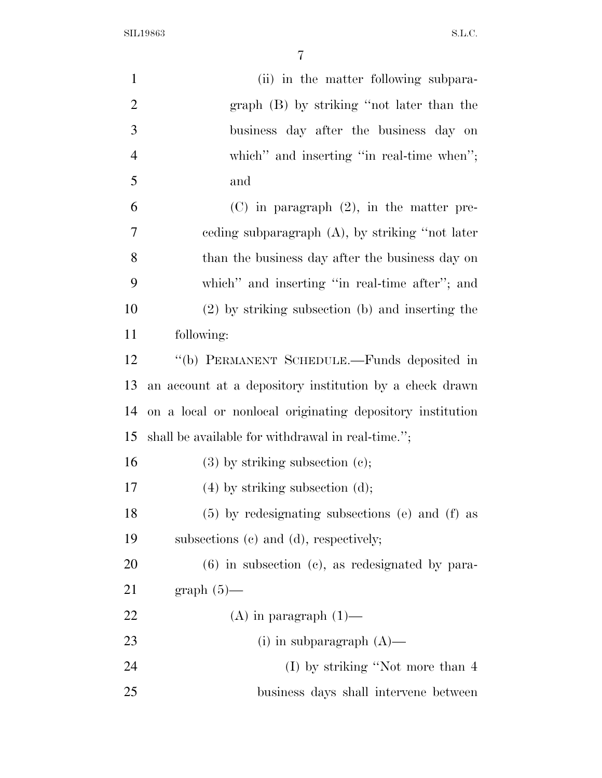| $\mathbf{1}$   | (ii) in the matter following subpara-                     |
|----------------|-----------------------------------------------------------|
| $\overline{2}$ | graph (B) by striking "not later than the                 |
| 3              | business day after the business day on                    |
| $\overline{4}$ | which" and inserting "in real-time when";                 |
| 5              | and                                                       |
| 6              | $(C)$ in paragraph $(2)$ , in the matter pre-             |
| 7              | eeding subparagraph $(A)$ , by striking "not later        |
| 8              | than the business day after the business day on           |
| 9              | which" and inserting "in real-time after"; and            |
| 10             | (2) by striking subsection (b) and inserting the          |
| 11             | following:                                                |
| 12             | "(b) PERMANENT SCHEDULE.—Funds deposited in               |
| 13             | an account at a depository institution by a check drawn   |
| 14             | on a local or nonlocal originating depository institution |
| 15             | shall be available for withdrawal in real-time.";         |
| 16             | $(3)$ by striking subsection $(e)$ ;                      |
| 17             | $(4)$ by striking subsection $(d)$ ;                      |
| 18             | (5) by redesignating subsections (e) and (f) as           |
| 19             | subsections (c) and (d), respectively;                    |
| 20             | $(6)$ in subsection $(e)$ , as redesignated by para-      |
| 21             | graph $(5)$ —                                             |
| 22             | $(A)$ in paragraph $(1)$ —                                |
| 23             | (i) in subparagraph $(A)$ —                               |
| 24             | (I) by striking "Not more than 4                          |
| 25             | business days shall intervene between                     |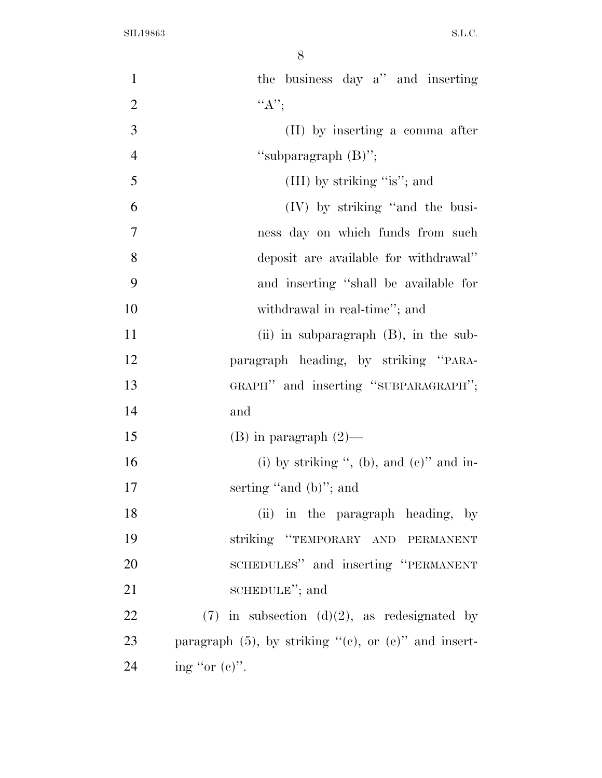| $\mathbf{1}$   | the business day a" and inserting                              |
|----------------|----------------------------------------------------------------|
| $\overline{2}$ | ``A"                                                           |
| 3              | (II) by inserting a comma after                                |
| $\overline{4}$ | "subparagraph $(B)$ ";                                         |
| 5              | (III) by striking "is"; and                                    |
| 6              | (IV) by striking "and the busi-                                |
| $\overline{7}$ | ness day on which funds from such                              |
| 8              | deposit are available for withdrawal"                          |
| 9              | and inserting "shall be available for                          |
| 10             | withdrawal in real-time"; and                                  |
| 11             | (ii) in subparagraph $(B)$ , in the sub-                       |
| 12             | paragraph heading, by striking "PARA-                          |
| 13             | GRAPH" and inserting "SUBPARAGRAPH";                           |
| 14             | and                                                            |
| 15             | $(B)$ in paragraph $(2)$ —                                     |
| 16             | (i) by striking ", (b), and $(e)$ " and in-                    |
| 17             | serting "and $(b)$ "; and                                      |
| 18             | (ii) in the paragraph heading, by                              |
| 19             | striking "TEMPORARY AND PERMANENT                              |
| 20             | SCHEDULES" and inserting "PERMANENT                            |
| 21             | SCHEDULE"; and                                                 |
| 22             | $(7)$ in subsection $(d)(2)$ , as redesignated by              |
| 23             | paragraph $(5)$ , by striking " $(e)$ , or $(e)$ " and insert- |
| 24             | ing "or $(e)$ ".                                               |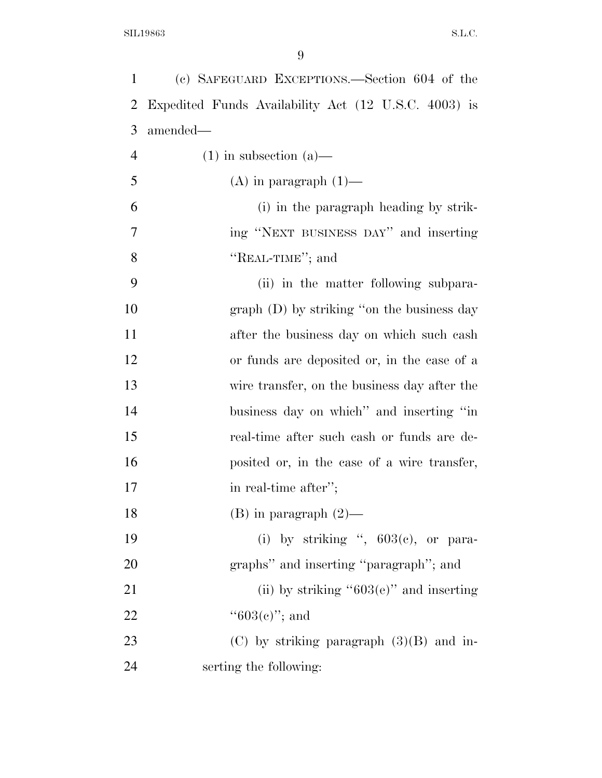| $\mathbf{1}$   | (c) SAFEGUARD EXCEPTIONS.—Section 604 of the         |
|----------------|------------------------------------------------------|
| $\overline{2}$ | Expedited Funds Availability Act (12 U.S.C. 4003) is |
| 3              | amended—                                             |
| $\overline{4}$ | $(1)$ in subsection $(a)$ —                          |
| 5              | $(A)$ in paragraph $(1)$ —                           |
| 6              | (i) in the paragraph heading by strik-               |
| 7              | ing "NEXT BUSINESS DAY" and inserting                |
| 8              | "REAL-TIME"; and                                     |
| 9              | (ii) in the matter following subpara-                |
| 10             | graph (D) by striking "on the business day           |
| 11             | after the business day on which such cash            |
| 12             | or funds are deposited or, in the case of a          |
| 13             | wire transfer, on the business day after the         |
| 14             | business day on which" and inserting "in             |
| 15             | real-time after such cash or funds are de-           |
| 16             | posited or, in the case of a wire transfer,          |
| 17             | in real-time after";                                 |
| 18             | $(B)$ in paragraph $(2)$ —                           |
| 19             | (i) by striking ", $603(e)$ , or para-               |
| 20             | graphs" and inserting "paragraph"; and               |
| 21             | (ii) by striking " $603(e)$ " and inserting          |
| 22             | $``603(e)"$ ; and                                    |
| 23             | (C) by striking paragraph $(3)(B)$ and in-           |
| 24             | serting the following:                               |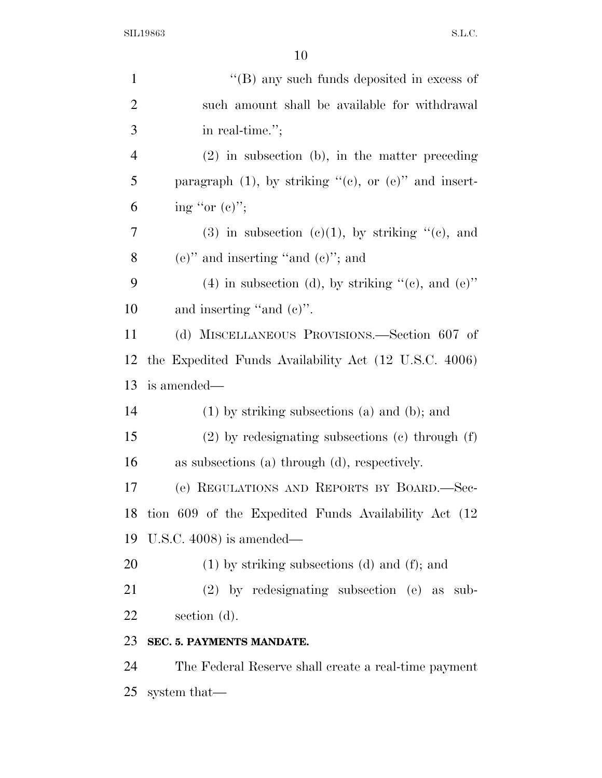| $\mathbf{1}$   | "(B) any such funds deposited in excess of                     |
|----------------|----------------------------------------------------------------|
| $\overline{2}$ | such amount shall be available for withdrawal                  |
| 3              | in real-time.";                                                |
| $\overline{4}$ | $(2)$ in subsection (b), in the matter preceding               |
| 5              | paragraph $(1)$ , by striking " $(e)$ , or $(e)$ " and insert- |
| 6              | ing "or $(e)$ ";                                               |
| 7              | $(3)$ in subsection $(c)(1)$ , by striking " $(c)$ , and       |
| 8              | $(e)$ " and inserting "and $(e)$ "; and                        |
| 9              | (4) in subsection (d), by striking $\lq\lq$ (e), and (e)"      |
| 10             | and inserting "and $(e)$ ".                                    |
| 11             | (d) MISCELLANEOUS PROVISIONS.—Section 607 of                   |
| 12             | the Expedited Funds Availability Act (12 U.S.C. 4006)          |
| 13             | is amended—                                                    |
| 14             | $(1)$ by striking subsections $(a)$ and $(b)$ ; and            |
| 15             | $(2)$ by redesignating subsections $(e)$ through $(f)$         |
| 16             | as subsections (a) through (d), respectively.                  |
| 17             | (e) REGULATIONS AND REPORTS BY BOARD.-Sec-                     |
|                | 18 tion 609 of the Expedited Funds Availability Act (12)       |
| 19             | U.S.C. $4008$ ) is amended—                                    |
| 20             | $(1)$ by striking subsections $(d)$ and $(f)$ ; and            |
| 21             | $(2)$ by redesignating subsection $(e)$ as sub-                |
| 22             | section $(d)$ .                                                |
| 23             | SEC. 5. PAYMENTS MANDATE.                                      |
| 24             | The Federal Reserve shall create a real-time payment           |
| 25             | system that—                                                   |